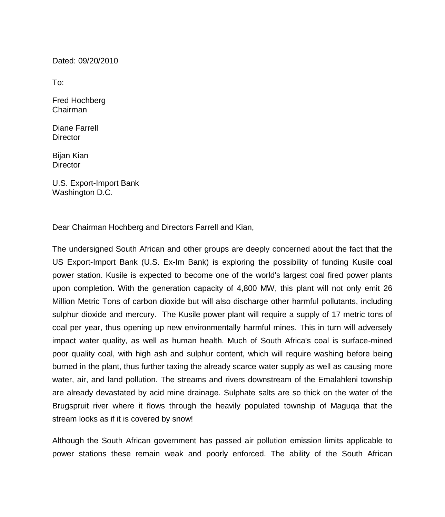Dated: 09/20/2010

To:

Fred Hochberg Chairman

Diane Farrell **Director** 

Bijan Kian **Director** 

U.S. Export-Import Bank Washington D.C.

Dear Chairman Hochberg and Directors Farrell and Kian,

The undersigned South African and other groups are deeply concerned about the fact that the US Export-Import Bank (U.S. Ex-Im Bank) is exploring the possibility of funding Kusile coal power station. Kusile is expected to become one of the world's largest coal fired power plants upon completion. With the generation capacity of 4,800 MW, this plant will not only emit 26 Million Metric Tons of carbon dioxide but will also discharge other harmful pollutants, including sulphur dioxide and mercury. The Kusile power plant will require a supply of 17 metric tons of coal per year, thus opening up new environmentally harmful mines. This in turn will adversely impact water quality, as well as human health. Much of South Africa's coal is surface-mined poor quality coal, with high ash and sulphur content, which will require washing before being burned in the plant, thus further taxing the already scarce water supply as well as causing more water, air, and land pollution. The streams and rivers downstream of the Emalahleni township are already devastated by acid mine drainage. Sulphate salts are so thick on the water of the Brugspruit river where it flows through the heavily populated township of Maguqa that the stream looks as if it is covered by snow!

Although the South African government has passed air pollution emission limits applicable to power stations these remain weak and poorly enforced. The ability of the South African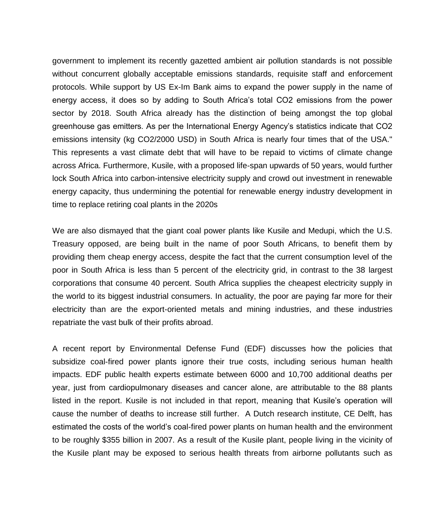government to implement its recently gazetted ambient air pollution standards is not possible without concurrent globally acceptable emissions standards, requisite staff and enforcement protocols. While support by US Ex-Im Bank aims to expand the power supply in the name of energy access, it does so by adding to South Africa's total CO2 emissions from the power sector by 2018. South Africa already has the distinction of being amongst the top global greenhouse gas emitters. As per the International Energy Agency's statistics indicate that CO2 emissions intensity (kg CO2/2000 USD) in South Africa is nearly four times that of the USA." This represents a vast climate debt that will have to be repaid to victims of climate change across Africa. Furthermore, Kusile, with a proposed life-span upwards of 50 years, would further lock South Africa into carbon-intensive electricity supply and crowd out investment in renewable energy capacity, thus undermining the potential for renewable energy industry development in time to replace retiring coal plants in the 2020s

We are also dismayed that the giant coal power plants like Kusile and Medupi, which the U.S. Treasury opposed, are being built in the name of poor South Africans, to benefit them by providing them cheap energy access, despite the fact that the current consumption level of the poor in South Africa is less than 5 percent of the electricity grid, in contrast to the 38 largest corporations that consume 40 percent. South Africa supplies the cheapest electricity supply in the world to its biggest industrial consumers. In actuality, the poor are paying far more for their electricity than are the export-oriented metals and mining industries, and these industries repatriate the vast bulk of their profits abroad.

A recent report by Environmental Defense Fund (EDF) discusses how the policies that subsidize coal-fired power plants ignore their true costs, including serious human health impacts. EDF public health experts estimate between 6000 and 10,700 additional deaths per year, just from cardiopulmonary diseases and cancer alone, are attributable to the 88 plants listed in the report. Kusile is not included in that report, meaning that Kusile's operation will cause the number of deaths to increase still further. A Dutch research institute, CE Delft, has estimated the costs of the world's coal-fired power plants on human health and the environment to be roughly \$355 billion in 2007. As a result of the Kusile plant, people living in the vicinity of the Kusile plant may be exposed to serious health threats from airborne pollutants such as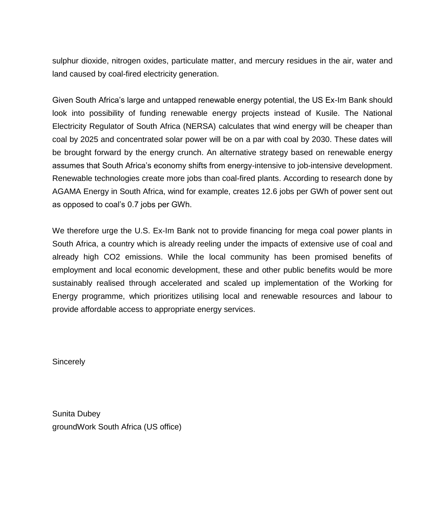sulphur dioxide, nitrogen oxides, particulate matter, and mercury residues in the air, water and land caused by coal-fired electricity generation.

Given South Africa's large and untapped renewable energy potential, the US Ex-Im Bank should look into possibility of funding renewable energy projects instead of Kusile. The National Electricity Regulator of South Africa (NERSA) calculates that wind energy will be cheaper than coal by 2025 and concentrated solar power will be on a par with coal by 2030. These dates will be brought forward by the energy crunch. An alternative strategy based on renewable energy assumes that South Africa's economy shifts from energy-intensive to job-intensive development. Renewable technologies create more jobs than coal-fired plants. According to research done by AGAMA Energy in South Africa, wind for example, creates 12.6 jobs per GWh of power sent out as opposed to coal's 0.7 jobs per GWh.

We therefore urge the U.S. Ex-Im Bank not to provide financing for mega coal power plants in South Africa, a country which is already reeling under the impacts of extensive use of coal and already high CO2 emissions. While the local community has been promised benefits of employment and local economic development, these and other public benefits would be more sustainably realised through accelerated and scaled up implementation of the Working for Energy programme, which prioritizes utilising local and renewable resources and labour to provide affordable access to appropriate energy services.

**Sincerely** 

Sunita Dubey groundWork South Africa (US office)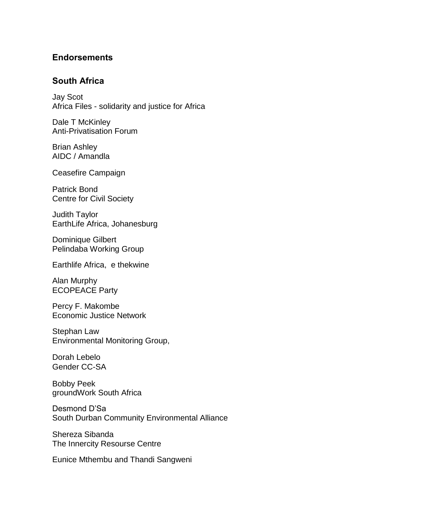## **Endorsements**

## **South Africa**

Jay Scot Africa Files - solidarity and justice for Africa

Dale T McKinley Anti-Privatisation Forum

Brian Ashley AIDC / Amandla

Ceasefire Campaign

Patrick Bond Centre for Civil Society

Judith Taylor EarthLife Africa, Johanesburg

Dominique Gilbert Pelindaba Working Group

Earthlife Africa, e thekwine

Alan Murphy ECOPEACE Party

Percy F. Makombe Economic Justice Network

Stephan Law Environmental Monitoring Group,

Dorah Lebelo Gender CC-SA

Bobby Peek groundWork South Africa

Desmond D'Sa South Durban Community Environmental Alliance

Shereza Sibanda The Innercity Resourse Centre

Eunice Mthembu and Thandi Sangweni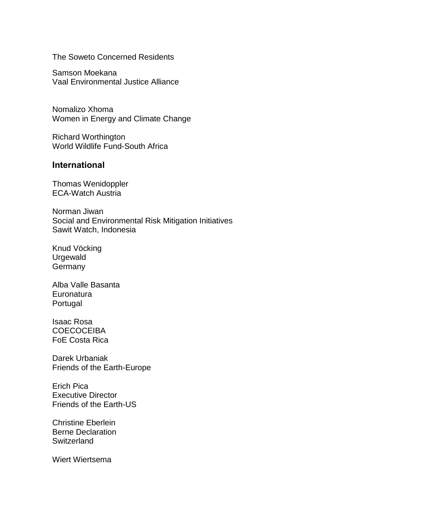The Soweto Concerned Residents

Samson Moekana Vaal Environmental Justice Alliance

Nomalizo Xhoma Women in Energy and Climate Change

Richard Worthington World Wildlife Fund-South Africa

## **International**

Thomas Wenidoppler ECA-Watch Austria

Norman Jiwan Social and Environmental Risk Mitigation Initiatives Sawit Watch, Indonesia

Knud Vöcking Urgewald **Germany** 

Alba Valle Basanta **Euronatura** Portugal

Isaac Rosa **COECOCEIBA** FoE Costa Rica

Darek Urbaniak Friends of the Earth-Europe

Erich Pica Executive Director Friends of the Earth-US

Christine Eberlein Berne Declaration **Switzerland** 

Wiert Wiertsema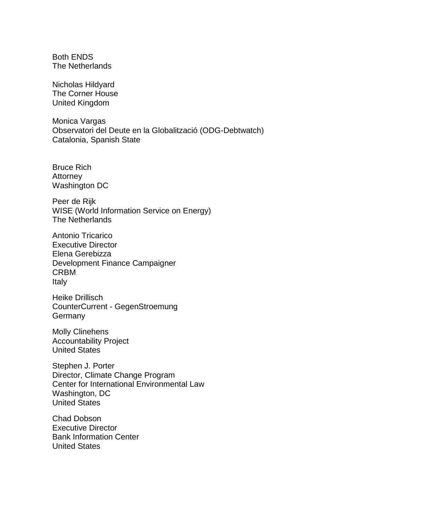Both ENDS The Netherlands

Nicholas Hildyard The Corner House United Kingdom

Monica Vargas Observatori del Deute en la Globalització (ODG-Debtwatch) Catalonia, Spanish State

Bruce Rich **Attorney** Washington DC

Peer de Rijk WISE (World Information Service on Energy) The Netherlands

Antonio Tricarico Executive Director Elena Gerebizza Development Finance Campaigner CRBM Italy

Heike Drillisch CounterCurrent - GegenStroemung **Germany** 

Molly Clinehens Accountability Project United States

Stephen J. Porter Director, Climate Change Program Center for International Environmental Law Washington, DC United States

Chad Dobson Executive Director Bank Information Center United States